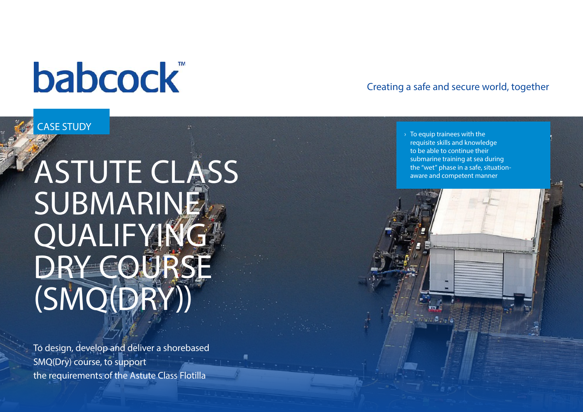# **babcock**

## CASE STUDY

# ASTUTE CLASS **SUBMARINE QUALIFYING** DRY COURSE (SMQ(DRY))

To design, develop and deliver a shorebased SMQ(Dry) course, to support the requirements of the Astute Class Flotilla

### Creating a safe and secure world, together

 $\rightarrow$  To equip trainees with the requisite skills and knowledge to be able to continue their submarine training at sea during the "wet" phase in a safe, situationaware and competent manner